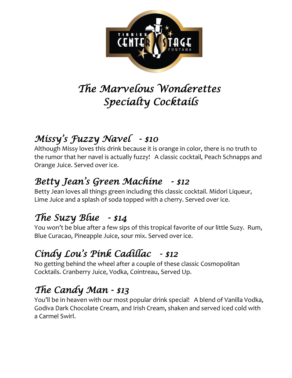

# *The Marvelous Wonderettes Specialty Cocktails*

# *Missy' s Fuzzy Navel - \$10*

Although Missy loves this drink because it is orange in color, there is no truth to the rumor that her navel is actually fuzzy! A classic cocktail, Peach Schnapps and Orange Juice. Served over ice.

#### *Betty Jean's Green Machine - \$12*

Betty Jean loves all things green including this classic cocktail. Midori Liqueur, Lime Juice and a splash of soda topped with a cherry. Served over ice.

### *The Suzy Blue - \$14*

You won't be blue after a few sips of this tropical favorite of our little Suzy. Rum, Blue Curacao, Pineapple Juice, sour mix. Served over ice.

### *Cindy Lou's Pink Cadillac - \$12*

No getting behind the wheel after a couple of these classic Cosmopolitan Cocktails. Cranberry Juice, Vodka, Cointreau, Served Up.

## *The Candy Man - \$13*

You'll be in heaven with our most popular drink special! A blend of Vanilla Vodka, Godiva Dark Chocolate Cream, and Irish Cream, shaken and served iced cold with a Carmel Swirl.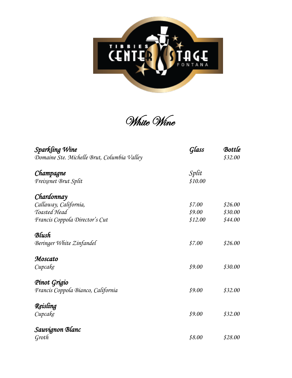

White Wine

| Sparkling Wine                              | Glass   | Bottle  |
|---------------------------------------------|---------|---------|
| Domaine Ste. Michelle Brut, Columbia Valley |         | \$32.00 |
| Champagne                                   | Split   |         |
| Freixenet Brut Split                        | \$10.00 |         |
| Chardonnay                                  |         |         |
| Callaway, California,                       | \$7.00  | \$26.00 |
| Toasted Head                                | \$9.00  | \$30.00 |
| Francis Coppola Director's Cut              | \$12.00 | \$44.00 |
| Blush                                       |         |         |
| Beringer White Zinfandel                    | \$7.00  | \$26.00 |
| Moscato                                     |         |         |
| Cupcake                                     | \$9.00  | \$30.00 |
| Pinot Grigio                                |         |         |
| Francis Coppola Bianco, California          | \$9.00  | \$32.00 |
| Reisling                                    |         |         |
| Cupcake                                     | \$9.00  | \$32.00 |
| Sauvignon Blanc                             |         |         |
| Groth                                       | \$8.00  | \$28.00 |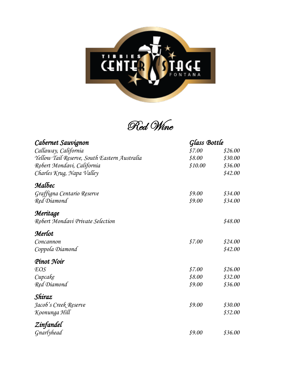

Red Wine

| Cabernet Sauvignon                           | Glass Bottle |         |
|----------------------------------------------|--------------|---------|
| Callaway, California                         | \$7.00       | \$26.00 |
| Yellow Tail Reserve, South Eastern Australia | \$8.00       | \$30.00 |
| Robert Mondavi, California                   | \$10.00      | \$36.00 |
| Charles Krug, Napa Valley                    |              | \$42.00 |
| Malbec                                       |              |         |
| Graffigna Centario Reserve                   | \$9.00       | \$34.00 |
| Red Diamond                                  | \$9.00       | \$34.00 |
| Meritage                                     |              |         |
| Robert Mondavi Private Selection             |              | \$48.00 |
| Merlot                                       |              |         |
| Concannon                                    | \$7.00       | \$24.00 |
| Coppola Diamond                              |              | \$42.00 |
| Pinot Noir                                   |              |         |
| <b>EOS</b>                                   | \$7.00       | \$26.00 |
| Cupcake                                      | \$8.00       | \$32.00 |
| Red Diamond                                  | \$9.00       | \$36.00 |
| Shiraz                                       |              |         |
| Jacob's Creek Reserve                        | \$9.00       | \$30.00 |
| Koonunga Hill                                |              | \$52.00 |
| Zinfandel                                    |              |         |
| Gnarlyhead                                   | \$9.00       | \$36.00 |